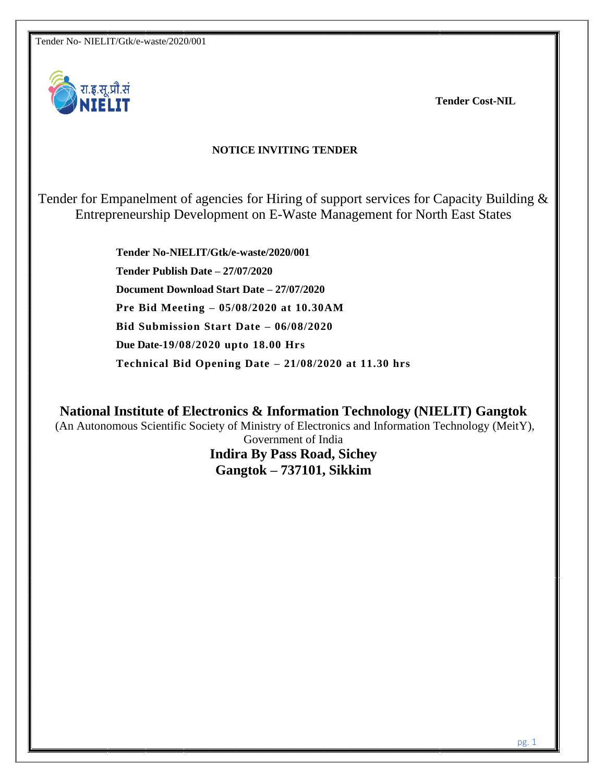

**Tender Cost-NIL**

## **NOTICE INVITING TENDER**

Tender for Empanelment of agencies for Hiring of support services for Capacity Building & Entrepreneurship Development on E-Waste Management for North East States

> **Tender No-NIELIT/Gtk/e-waste/2020/001 Tender Publish Date – 27/07/2020 Document Download Start Date – 27/07/2020 Pre Bid Meeting – 05/08/2020 at 10.30AM Bid Submission Start Date – 06/08/2020 Due Date-19/08/2020 upto 18.00 Hrs Technical Bid Opening Date – 21/08/2020 at 11.30 hrs**

**National Institute of Electronics & Information Technology (NIELIT) Gangtok** (An Autonomous Scientific Society of Ministry of Electronics and Information Technology (MeitY),

Government of India **Indira By Pass Road, Sichey Gangtok – 737101, Sikkim**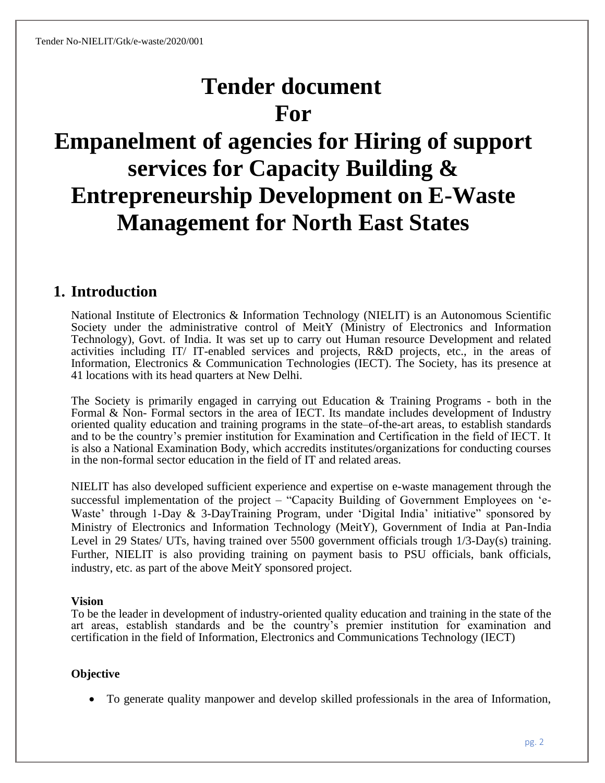## **Tender document For**

# **Empanelment of agencies for Hiring of support services for Capacity Building & Entrepreneurship Development on E-Waste Management for North East States**

## **1. Introduction**

National Institute of Electronics & Information Technology (NIELIT) is an Autonomous Scientific Society under the administrative control of MeitY (Ministry of Electronics and Information Technology), Govt. of India. It was set up to carry out Human resource Development and related activities including IT/ IT-enabled services and projects, R&D projects, etc., in the areas of Information, Electronics & Communication Technologies (IECT). The Society, has its presence at 41 locations with its head quarters at New Delhi.

The Society is primarily engaged in carrying out Education & Training Programs - both in the Formal & Non- Formal sectors in the area of IECT. Its mandate includes development of Industry oriented quality education and training programs in the state–of-the-art areas, to establish standards and to be the country's premier institution for Examination and Certification in the field of IECT. It is also a National Examination Body, which accredits institutes/organizations for conducting courses in the non-formal sector education in the field of IT and related areas.

NIELIT has also developed sufficient experience and expertise on e-waste management through the successful implementation of the project – "Capacity Building of Government Employees on 'e-Waste' through 1-Day & 3-DayTraining Program, under 'Digital India' initiative'' sponsored by Ministry of Electronics and Information Technology (MeitY), Government of India at Pan-India Level in 29 States/ UTs, having trained over 5500 government officials trough 1/3-Day(s) training. Further, NIELIT is also providing training on payment basis to PSU officials, bank officials, industry, etc. as part of the above MeitY sponsored project.

#### **Vision**

To be the leader in development of industry-oriented quality education and training in the state of the art areas, establish standards and be the country's premier institution for examination and certification in the field of Information, Electronics and Communications Technology (IECT)

### **Objective**

• To generate quality manpower and develop skilled professionals in the area of Information,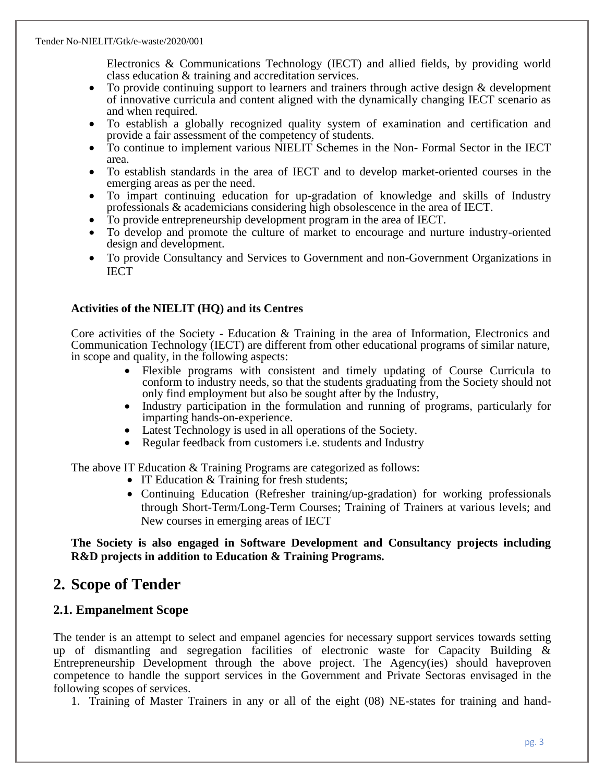Electronics & Communications Technology (IECT) and allied fields, by providing world class education & training and accreditation services.

- To provide continuing support to learners and trainers through active design & development of innovative curricula and content aligned with the dynamically changing IECT scenario as and when required.
- To establish a globally recognized quality system of examination and certification and provide a fair assessment of the competency of students.
- To continue to implement various NIELIT Schemes in the Non-Formal Sector in the IECT area.
- To establish standards in the area of IECT and to develop market-oriented courses in the emerging areas as per the need.
- To impart continuing education for up-gradation of knowledge and skills of Industry professionals & academicians considering high obsolescence in the area of IECT.
- To provide entrepreneurship development program in the area of IECT.
- To develop and promote the culture of market to encourage and nurture industry-oriented design and development.
- To provide Consultancy and Services to Government and non-Government Organizations in **IECT**

### **Activities of the NIELIT (HQ) and its Centres**

Core activities of the Society - Education & Training in the area of Information, Electronics and Communication Technology (IECT) are different from other educational programs of similar nature, in scope and quality, in the following aspects:

- Flexible programs with consistent and timely updating of Course Curricula to conform to industry needs, so that the students graduating from the Society should not only find employment but also be sought after by the Industry,
- Industry participation in the formulation and running of programs, particularly for imparting hands-on-experience.
- Latest Technology is used in all operations of the Society.
- Regular feedback from customers *i.e.* students and Industry

The above IT Education & Training Programs are categorized as follows:

- IT Education & Training for fresh students:
- Continuing Education (Refresher training/up-gradation) for working professionals through Short-Term/Long-Term Courses; Training of Trainers at various levels; and New courses in emerging areas of IECT

**The Society is also engaged in Software Development and Consultancy projects including R&D projects in addition to Education & Training Programs.**

## **2. Scope of Tender**

## **2.1. Empanelment Scope**

The tender is an attempt to select and empanel agencies for necessary support services towards setting up of dismantling and segregation facilities of electronic waste for Capacity Building  $\&$ Entrepreneurship Development through the above project. The Agency(ies) should haveproven competence to handle the support services in the Government and Private Sectoras envisaged in the following scopes of services.

1. Training of Master Trainers in any or all of the eight (08) NE-states for training and hand-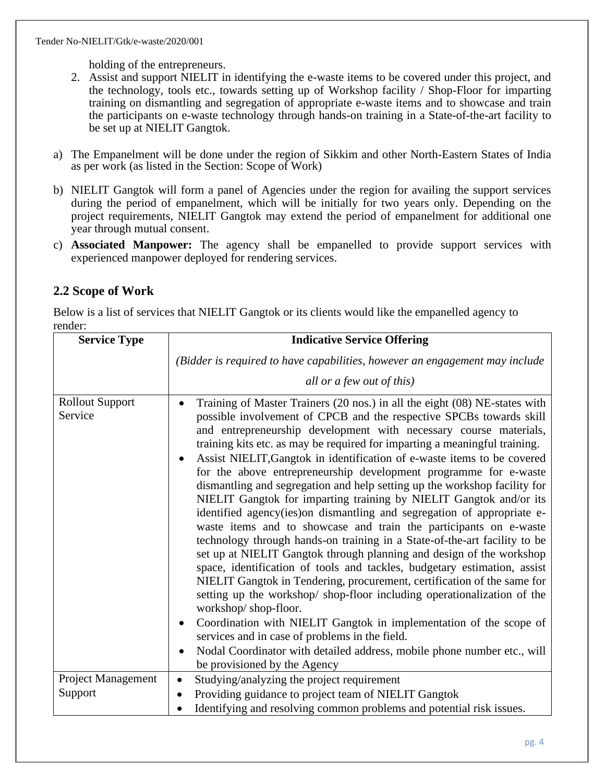holding of the entrepreneurs.

- 2. Assist and support NIELIT in identifying the e-waste items to be covered under this project, and the technology, tools etc., towards setting up of Workshop facility / Shop-Floor for imparting training on dismantling and segregation of appropriate e-waste items and to showcase and train the participants on e-waste technology through hands-on training in a State-of-the-art facility to be set up at NIELIT Gangtok.
- a) The Empanelment will be done under the region of Sikkim and other North-Eastern States of India as per work (as listed in the Section: Scope of Work)
- b) NIELIT Gangtok will form a panel of Agencies under the region for availing the support services during the period of empanelment, which will be initially for two years only. Depending on the project requirements, NIELIT Gangtok may extend the period of empanelment for additional one year through mutual consent.
- c) **Associated Manpower:** The agency shall be empanelled to provide support services with experienced manpower deployed for rendering services.

## **2.2 Scope of Work**

Below is a list of services that NIELIT Gangtok or its clients would like the empanelled agency to render:

| <b>Service Type</b>               | <b>Indicative Service Offering</b>                                                                                                                                                                                                                                                                                                                                                                                                                                                                                                                                                                                                                                                                                                                                                                                                                                                                                                                                                                                                                                                                                                                                                                                                                                                                                                                                                                                   |
|-----------------------------------|----------------------------------------------------------------------------------------------------------------------------------------------------------------------------------------------------------------------------------------------------------------------------------------------------------------------------------------------------------------------------------------------------------------------------------------------------------------------------------------------------------------------------------------------------------------------------------------------------------------------------------------------------------------------------------------------------------------------------------------------------------------------------------------------------------------------------------------------------------------------------------------------------------------------------------------------------------------------------------------------------------------------------------------------------------------------------------------------------------------------------------------------------------------------------------------------------------------------------------------------------------------------------------------------------------------------------------------------------------------------------------------------------------------------|
|                                   | (Bidder is required to have capabilities, however an engagement may include                                                                                                                                                                                                                                                                                                                                                                                                                                                                                                                                                                                                                                                                                                                                                                                                                                                                                                                                                                                                                                                                                                                                                                                                                                                                                                                                          |
|                                   | all or a few out of this)                                                                                                                                                                                                                                                                                                                                                                                                                                                                                                                                                                                                                                                                                                                                                                                                                                                                                                                                                                                                                                                                                                                                                                                                                                                                                                                                                                                            |
| <b>Rollout Support</b><br>Service | Training of Master Trainers (20 nos.) in all the eight (08) NE-states with<br>possible involvement of CPCB and the respective SPCBs towards skill<br>and entrepreneurship development with necessary course materials,<br>training kits etc. as may be required for imparting a meaningful training.<br>Assist NIELIT, Gangtok in identification of e-waste items to be covered<br>for the above entrepreneurship development programme for e-waste<br>dismantling and segregation and help setting up the workshop facility for<br>NIELIT Gangtok for imparting training by NIELIT Gangtok and/or its<br>identified agency(ies) on dismantling and segregation of appropriate e-<br>waste items and to showcase and train the participants on e-waste<br>technology through hands-on training in a State-of-the-art facility to be<br>set up at NIELIT Gangtok through planning and design of the workshop<br>space, identification of tools and tackles, budgetary estimation, assist<br>NIELIT Gangtok in Tendering, procurement, certification of the same for<br>setting up the workshop/shop-floor including operationalization of the<br>workshop/shop-floor.<br>Coordination with NIELIT Gangtok in implementation of the scope of<br>services and in case of problems in the field.<br>Nodal Coordinator with detailed address, mobile phone number etc., will<br>$\bullet$<br>be provisioned by the Agency |
| Project Management<br>Support     | Studying/analyzing the project requirement<br>$\bullet$<br>Providing guidance to project team of NIELIT Gangtok<br>$\bullet$<br>Identifying and resolving common problems and potential risk issues.<br>$\bullet$                                                                                                                                                                                                                                                                                                                                                                                                                                                                                                                                                                                                                                                                                                                                                                                                                                                                                                                                                                                                                                                                                                                                                                                                    |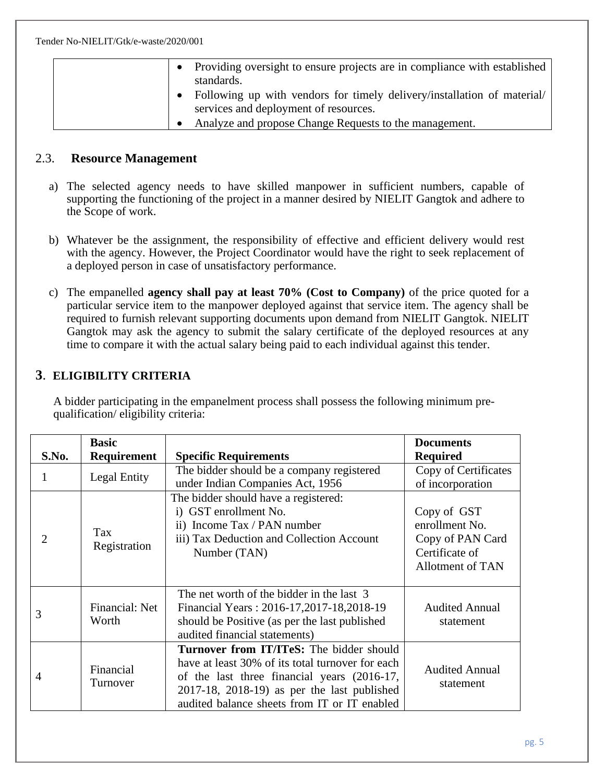|  | Providing oversight to ensure projects are in compliance with established<br>standards.                          |
|--|------------------------------------------------------------------------------------------------------------------|
|  | Following up with vendors for timely delivery/installation of material/<br>services and deployment of resources. |
|  | Analyze and propose Change Requests to the management.                                                           |

## 2.3. **Resource Management**

- a) The selected agency needs to have skilled manpower in sufficient numbers, capable of supporting the functioning of the project in a manner desired by NIELIT Gangtok and adhere to the Scope of work.
- b) Whatever be the assignment, the responsibility of effective and efficient delivery would rest with the agency. However, the Project Coordinator would have the right to seek replacement of a deployed person in case of unsatisfactory performance.
- c) The empanelled **agency shall pay at least 70% (Cost to Company)** of the price quoted for a particular service item to the manpower deployed against that service item. The agency shall be required to furnish relevant supporting documents upon demand from NIELIT Gangtok. NIELIT Gangtok may ask the agency to submit the salary certificate of the deployed resources at any time to compare it with the actual salary being paid to each individual against this tender.

## **3**. **ELIGIBILITY CRITERIA**

A bidder participating in the empanelment process shall possess the following minimum prequalification/ eligibility criteria:

| S.No.                       | <b>Basic</b><br><b>Requirement</b> | <b>Specific Requirements</b>                                                                                                                                                                                                                          | <b>Documents</b><br><b>Required</b>                                                     |
|-----------------------------|------------------------------------|-------------------------------------------------------------------------------------------------------------------------------------------------------------------------------------------------------------------------------------------------------|-----------------------------------------------------------------------------------------|
| 1                           | Legal Entity                       | The bidder should be a company registered<br>under Indian Companies Act, 1956                                                                                                                                                                         | Copy of Certificates<br>of incorporation                                                |
| $\mathcal{D}_{\mathcal{L}}$ | Tax<br>Registration                | The bidder should have a registered:<br>i) GST enrollment No.<br>ii) Income Tax / PAN number<br>iii) Tax Deduction and Collection Account<br>Number (TAN)                                                                                             | Copy of GST<br>enrollment No.<br>Copy of PAN Card<br>Certificate of<br>Allotment of TAN |
| 3                           | Financial: Net<br>Worth            | The net worth of the bidder in the last 3<br>Financial Years: 2016-17,2017-18,2018-19<br>should be Positive (as per the last published<br>audited financial statements)                                                                               | <b>Audited Annual</b><br>statement                                                      |
| $\overline{4}$              | Financial<br>Turnover              | <b>Turnover from IT/ITeS:</b> The bidder should<br>have at least 30% of its total turnover for each<br>of the last three financial years (2016-17,<br>$2017-18$ , $2018-19$ as per the last published<br>audited balance sheets from IT or IT enabled | <b>Audited Annual</b><br>statement                                                      |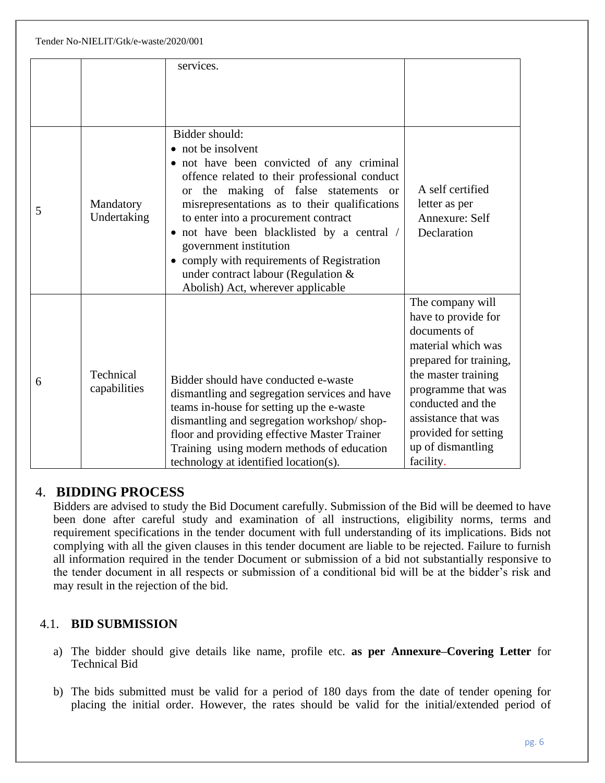|   | Tender No-NIELIT/Gtk/e-waste/2020/001 |                                                                                                                                                                                                                                                                                                                                                                                                                                                                                     |                                                                                                                                                                                                                                                            |
|---|---------------------------------------|-------------------------------------------------------------------------------------------------------------------------------------------------------------------------------------------------------------------------------------------------------------------------------------------------------------------------------------------------------------------------------------------------------------------------------------------------------------------------------------|------------------------------------------------------------------------------------------------------------------------------------------------------------------------------------------------------------------------------------------------------------|
|   |                                       | services.                                                                                                                                                                                                                                                                                                                                                                                                                                                                           |                                                                                                                                                                                                                                                            |
| 5 | Mandatory<br>Undertaking              | Bidder should:<br>• not be insolvent<br>• not have been convicted of any criminal<br>offence related to their professional conduct<br>the making of false statements or<br><sub>or</sub><br>misrepresentations as to their qualifications<br>to enter into a procurement contract<br>• not have been blacklisted by a central /<br>government institution<br>• comply with requirements of Registration<br>under contract labour (Regulation &<br>Abolish) Act, wherever applicable | A self certified<br>letter as per<br>Annexure: Self<br>Declaration                                                                                                                                                                                         |
| 6 | Technical<br>capabilities             | Bidder should have conducted e-waste<br>dismantling and segregation services and have<br>teams in-house for setting up the e-waste<br>dismantling and segregation workshop/shop-<br>floor and providing effective Master Trainer<br>Training using modern methods of education<br>technology at identified location(s).                                                                                                                                                             | The company will<br>have to provide for<br>documents of<br>material which was<br>prepared for training,<br>the master training<br>programme that was<br>conducted and the<br>assistance that was<br>provided for setting<br>up of dismantling<br>facility. |

## 4. **BIDDING PROCESS**

Bidders are advised to study the Bid Document carefully. Submission of the Bid will be deemed to have been done after careful study and examination of all instructions, eligibility norms, terms and requirement specifications in the tender document with full understanding of its implications. Bids not complying with all the given clauses in this tender document are liable to be rejected. Failure to furnish all information required in the tender Document or submission of a bid not substantially responsive to the tender document in all respects or submission of a conditional bid will be at the bidder's risk and may result in the rejection of the bid.

## 4.1. **BID SUBMISSION**

- a) The bidder should give details like name, profile etc. **as per Annexure–Covering Letter** for Technical Bid
- b) The bids submitted must be valid for a period of 180 days from the date of tender opening for placing the initial order. However, the rates should be valid for the initial/extended period of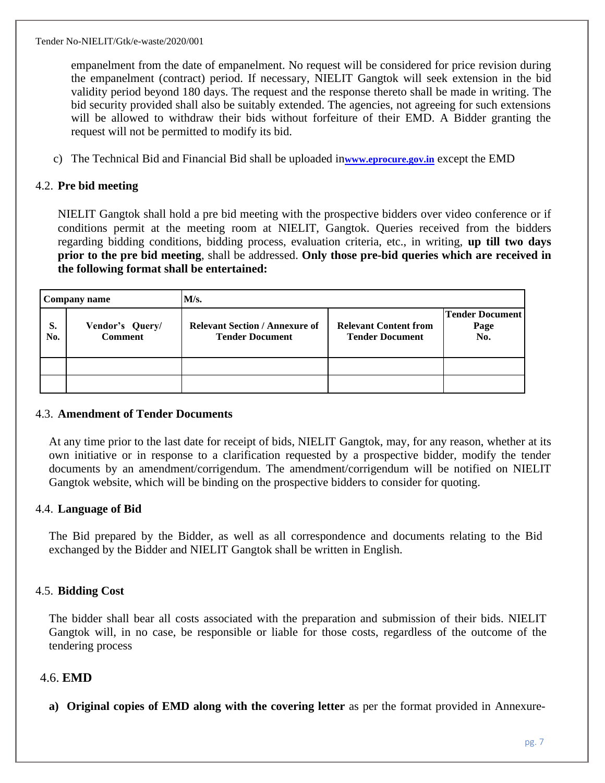empanelment from the date of empanelment. No request will be considered for price revision during the empanelment (contract) period. If necessary, NIELIT Gangtok will seek extension in the bid validity period beyond 180 days. The request and the response thereto shall be made in writing. The bid security provided shall also be suitably extended. The agencies, not agreeing for such extensions will be allowed to withdraw their bids without forfeiture of their EMD. A Bidder granting the request will not be permitted to modify its bid.

c) The Technical Bid and Financial Bid shall be uploaded in**[www.eprocure.gov.in](http://www.eprocure.gov.in/)** except the EMD

## 4.2. **Pre bid meeting**

NIELIT Gangtok shall hold a pre bid meeting with the prospective bidders over video conference or if conditions permit at the meeting room at NIELIT, Gangtok. Queries received from the bidders regarding bidding conditions, bidding process, evaluation criteria, etc., in writing, **up till two days prior to the pre bid meeting**, shall be addressed. **Only those pre-bid queries which are received in the following format shall be entertained:**

|           | <b>Company name</b>               | M/s.                                                            |                                                        |                                       |
|-----------|-----------------------------------|-----------------------------------------------------------------|--------------------------------------------------------|---------------------------------------|
| S.<br>No. | Vendor's Query/<br><b>Comment</b> | <b>Relevant Section / Annexure of</b><br><b>Tender Document</b> | <b>Relevant Content from</b><br><b>Tender Document</b> | <b>Tender Document</b><br>Page<br>No. |
|           |                                   |                                                                 |                                                        |                                       |
|           |                                   |                                                                 |                                                        |                                       |

### 4.3. **Amendment of Tender Documents**

At any time prior to the last date for receipt of bids, NIELIT Gangtok, may, for any reason, whether at its own initiative or in response to a clarification requested by a prospective bidder, modify the tender documents by an amendment/corrigendum. The amendment/corrigendum will be notified on NIELIT Gangtok website, which will be binding on the prospective bidders to consider for quoting.

### 4.4. **Language of Bid**

The Bid prepared by the Bidder, as well as all correspondence and documents relating to the Bid exchanged by the Bidder and NIELIT Gangtok shall be written in English.

### 4.5. **Bidding Cost**

The bidder shall bear all costs associated with the preparation and submission of their bids. NIELIT Gangtok will, in no case, be responsible or liable for those costs, regardless of the outcome of the tendering process

## 4.6. **EMD**

**a) Original copies of EMD along with the covering letter** as per the format provided in Annexure-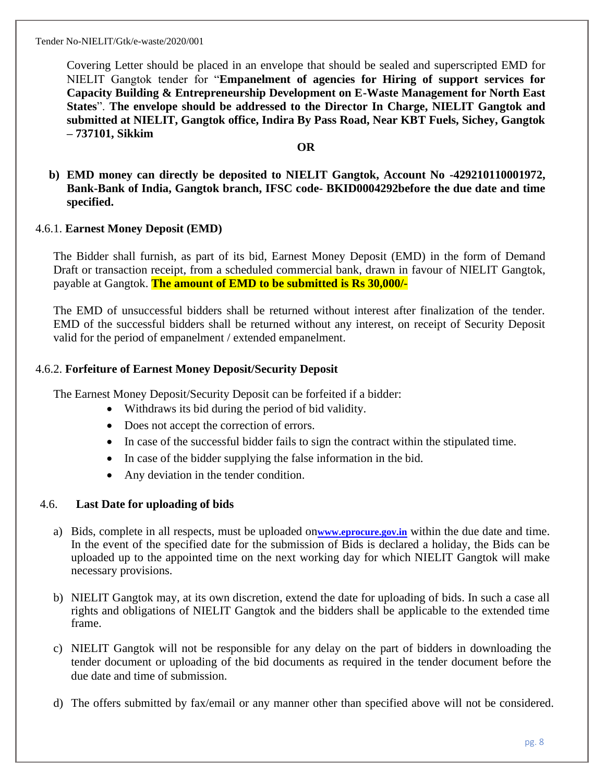Covering Letter should be placed in an envelope that should be sealed and superscripted EMD for NIELIT Gangtok tender for "**Empanelment of agencies for Hiring of support services for Capacity Building & Entrepreneurship Development on E-Waste Management for North East States**". **The envelope should be addressed to the Director In Charge, NIELIT Gangtok and submitted at NIELIT, Gangtok office, Indira By Pass Road, Near KBT Fuels, Sichey, Gangtok – 737101, Sikkim** 

### **OR**

**b) EMD money can directly be deposited to NIELIT Gangtok, Account No -429210110001972, Bank-Bank of India, Gangtok branch, IFSC code- BKID0004292before the due date and time specified.**

### 4.6.1. **Earnest Money Deposit (EMD)**

The Bidder shall furnish, as part of its bid, Earnest Money Deposit (EMD) in the form of Demand Draft or transaction receipt, from a scheduled commercial bank, drawn in favour of NIELIT Gangtok, payable at Gangtok. **The amount of EMD to be submitted is Rs 30,000/-**

The EMD of unsuccessful bidders shall be returned without interest after finalization of the tender. EMD of the successful bidders shall be returned without any interest, on receipt of Security Deposit valid for the period of empanelment / extended empanelment.

### 4.6.2. **Forfeiture of Earnest Money Deposit/Security Deposit**

The Earnest Money Deposit/Security Deposit can be forfeited if a bidder:

- Withdraws its bid during the period of bid validity.
- Does not accept the correction of errors.
- In case of the successful bidder fails to sign the contract within the stipulated time.
- In case of the bidder supplying the false information in the bid.
- Any deviation in the tender condition.

### 4.6. **Last Date for uploading of bids**

- a) Bids, complete in all respects, must be uploaded on**[www.eprocure.gov.in](http://www.eprocure.gov.in/)** within the due date and time. In the event of the specified date for the submission of Bids is declared a holiday, the Bids can be uploaded up to the appointed time on the next working day for which NIELIT Gangtok will make necessary provisions.
- b) NIELIT Gangtok may, at its own discretion, extend the date for uploading of bids. In such a case all rights and obligations of NIELIT Gangtok and the bidders shall be applicable to the extended time frame.
- c) NIELIT Gangtok will not be responsible for any delay on the part of bidders in downloading the tender document or uploading of the bid documents as required in the tender document before the due date and time of submission.
- d) The offers submitted by fax/email or any manner other than specified above will not be considered.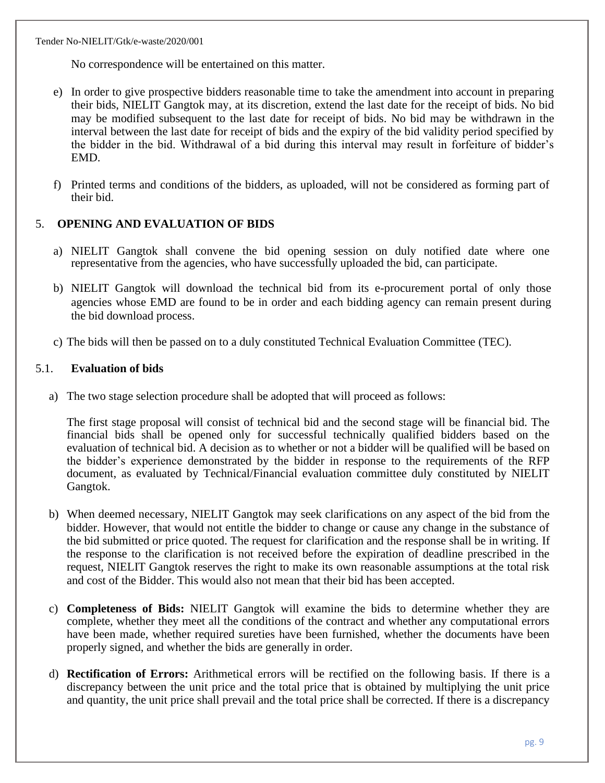No correspondence will be entertained on this matter.

- e) In order to give prospective bidders reasonable time to take the amendment into account in preparing their bids, NIELIT Gangtok may, at its discretion, extend the last date for the receipt of bids. No bid may be modified subsequent to the last date for receipt of bids. No bid may be withdrawn in the interval between the last date for receipt of bids and the expiry of the bid validity period specified by the bidder in the bid. Withdrawal of a bid during this interval may result in forfeiture of bidder's EMD.
- f) Printed terms and conditions of the bidders, as uploaded, will not be considered as forming part of their bid.

## 5. **OPENING AND EVALUATION OF BIDS**

- a) NIELIT Gangtok shall convene the bid opening session on duly notified date where one representative from the agencies, who have successfully uploaded the bid, can participate.
- b) NIELIT Gangtok will download the technical bid from its e-procurement portal of only those agencies whose EMD are found to be in order and each bidding agency can remain present during the bid download process.
- c) The bids will then be passed on to a duly constituted Technical Evaluation Committee (TEC).

### 5.1. **Evaluation of bids**

a) The two stage selection procedure shall be adopted that will proceed as follows:

The first stage proposal will consist of technical bid and the second stage will be financial bid. The financial bids shall be opened only for successful technically qualified bidders based on the evaluation of technical bid. A decision as to whether or not a bidder will be qualified will be based on the bidder's experience demonstrated by the bidder in response to the requirements of the RFP document, as evaluated by Technical/Financial evaluation committee duly constituted by NIELIT Gangtok.

- b) When deemed necessary, NIELIT Gangtok may seek clarifications on any aspect of the bid from the bidder. However, that would not entitle the bidder to change or cause any change in the substance of the bid submitted or price quoted. The request for clarification and the response shall be in writing. If the response to the clarification is not received before the expiration of deadline prescribed in the request, NIELIT Gangtok reserves the right to make its own reasonable assumptions at the total risk and cost of the Bidder. This would also not mean that their bid has been accepted.
- c) **Completeness of Bids:** NIELIT Gangtok will examine the bids to determine whether they are complete, whether they meet all the conditions of the contract and whether any computational errors have been made, whether required sureties have been furnished, whether the documents have been properly signed, and whether the bids are generally in order.
- d) **Rectification of Errors:** Arithmetical errors will be rectified on the following basis. If there is a discrepancy between the unit price and the total price that is obtained by multiplying the unit price and quantity, the unit price shall prevail and the total price shall be corrected. If there is a discrepancy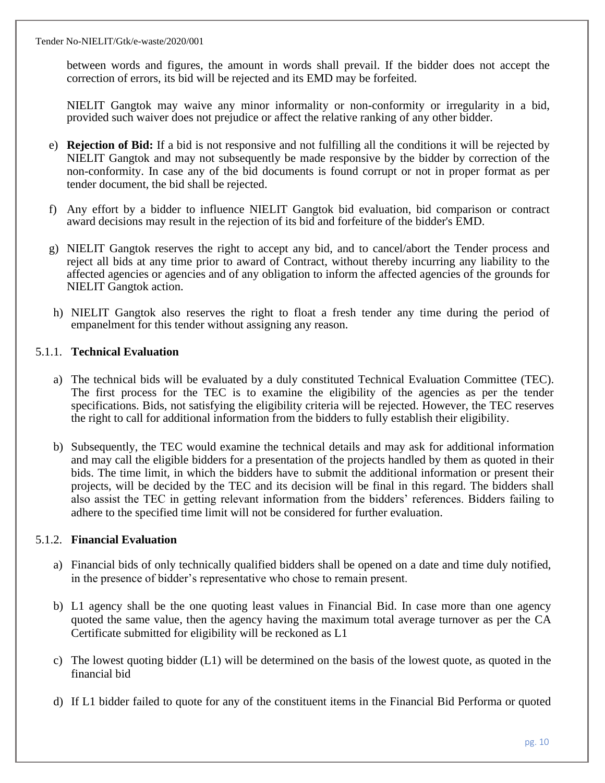between words and figures, the amount in words shall prevail. If the bidder does not accept the correction of errors, its bid will be rejected and its EMD may be forfeited.

NIELIT Gangtok may waive any minor informality or non-conformity or irregularity in a bid, provided such waiver does not prejudice or affect the relative ranking of any other bidder.

- e) **Rejection of Bid:** If a bid is not responsive and not fulfilling all the conditions it will be rejected by NIELIT Gangtok and may not subsequently be made responsive by the bidder by correction of the non-conformity. In case any of the bid documents is found corrupt or not in proper format as per tender document, the bid shall be rejected.
- f) Any effort by a bidder to influence NIELIT Gangtok bid evaluation, bid comparison or contract award decisions may result in the rejection of its bid and forfeiture of the bidder's EMD.
- g) NIELIT Gangtok reserves the right to accept any bid, and to cancel/abort the Tender process and reject all bids at any time prior to award of Contract, without thereby incurring any liability to the affected agencies or agencies and of any obligation to inform the affected agencies of the grounds for NIELIT Gangtok action.
- h) NIELIT Gangtok also reserves the right to float a fresh tender any time during the period of empanelment for this tender without assigning any reason.

### 5.1.1. **Technical Evaluation**

- a) The technical bids will be evaluated by a duly constituted Technical Evaluation Committee (TEC). The first process for the TEC is to examine the eligibility of the agencies as per the tender specifications. Bids, not satisfying the eligibility criteria will be rejected. However, the TEC reserves the right to call for additional information from the bidders to fully establish their eligibility.
- b) Subsequently, the TEC would examine the technical details and may ask for additional information and may call the eligible bidders for a presentation of the projects handled by them as quoted in their bids. The time limit, in which the bidders have to submit the additional information or present their projects, will be decided by the TEC and its decision will be final in this regard. The bidders shall also assist the TEC in getting relevant information from the bidders' references. Bidders failing to adhere to the specified time limit will not be considered for further evaluation.

## 5.1.2. **Financial Evaluation**

- a) Financial bids of only technically qualified bidders shall be opened on a date and time duly notified, in the presence of bidder's representative who chose to remain present.
- b) L1 agency shall be the one quoting least values in Financial Bid. In case more than one agency quoted the same value, then the agency having the maximum total average turnover as per the CA Certificate submitted for eligibility will be reckoned as L1
- c) The lowest quoting bidder  $(L1)$  will be determined on the basis of the lowest quote, as quoted in the financial bid
- d) If L1 bidder failed to quote for any of the constituent items in the Financial Bid Performa or quoted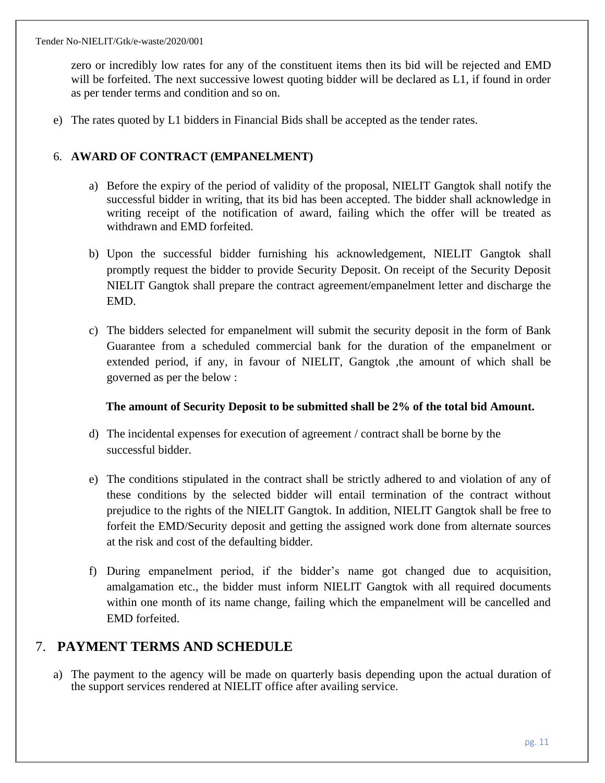zero or incredibly low rates for any of the constituent items then its bid will be rejected and EMD will be forfeited. The next successive lowest quoting bidder will be declared as L1, if found in order as per tender terms and condition and so on.

e) The rates quoted by L1 bidders in Financial Bids shall be accepted as the tender rates.

## 6. **AWARD OF CONTRACT (EMPANELMENT)**

- a) Before the expiry of the period of validity of the proposal, NIELIT Gangtok shall notify the successful bidder in writing, that its bid has been accepted. The bidder shall acknowledge in writing receipt of the notification of award, failing which the offer will be treated as withdrawn and EMD forfeited.
- b) Upon the successful bidder furnishing his acknowledgement, NIELIT Gangtok shall promptly request the bidder to provide Security Deposit. On receipt of the Security Deposit NIELIT Gangtok shall prepare the contract agreement/empanelment letter and discharge the EMD.
- c) The bidders selected for empanelment will submit the security deposit in the form of Bank Guarantee from a scheduled commercial bank for the duration of the empanelment or extended period, if any, in favour of NIELIT, Gangtok ,the amount of which shall be governed as per the below :

### **The amount of Security Deposit to be submitted shall be 2% of the total bid Amount.**

- d) The incidental expenses for execution of agreement / contract shall be borne by the successful bidder.
- e) The conditions stipulated in the contract shall be strictly adhered to and violation of any of these conditions by the selected bidder will entail termination of the contract without prejudice to the rights of the NIELIT Gangtok. In addition, NIELIT Gangtok shall be free to forfeit the EMD/Security deposit and getting the assigned work done from alternate sources at the risk and cost of the defaulting bidder.
- f) During empanelment period, if the bidder's name got changed due to acquisition, amalgamation etc., the bidder must inform NIELIT Gangtok with all required documents within one month of its name change, failing which the empanelment will be cancelled and EMD forfeited.

## 7. **PAYMENT TERMS AND SCHEDULE**

a) The payment to the agency will be made on quarterly basis depending upon the actual duration of the support services rendered at NIELIT office after availing service.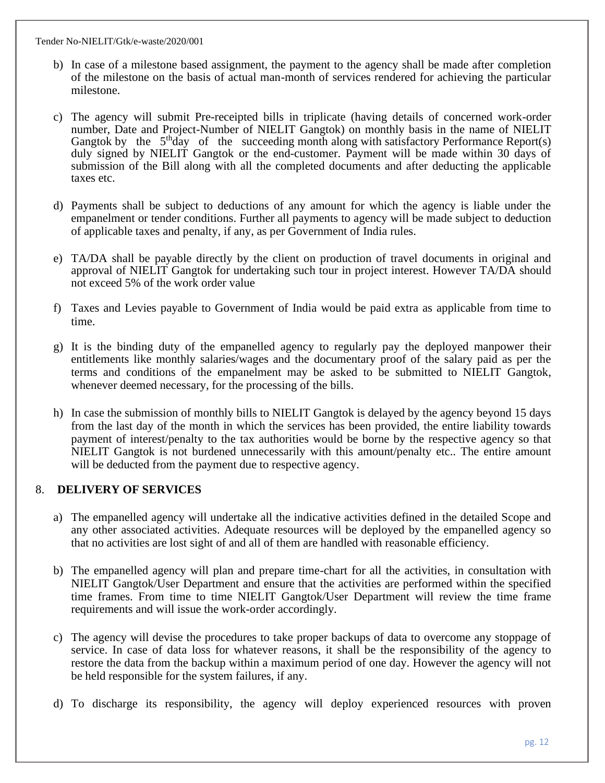- b) In case of a milestone based assignment, the payment to the agency shall be made after completion of the milestone on the basis of actual man-month of services rendered for achieving the particular milestone.
- c) The agency will submit Pre-receipted bills in triplicate (having details of concerned work-order number, Date and Project-Number of NIELIT Gangtok) on monthly basis in the name of NIELIT Gangtok by the  $5<sup>th</sup>day$  of the succeeding month along with satisfactory Performance Report(s) duly signed by NIELIT Gangtok or the end-customer. Payment will be made within 30 days of submission of the Bill along with all the completed documents and after deducting the applicable taxes etc.
- d) Payments shall be subject to deductions of any amount for which the agency is liable under the empanelment or tender conditions. Further all payments to agency will be made subject to deduction of applicable taxes and penalty, if any, as per Government of India rules.
- e) TA/DA shall be payable directly by the client on production of travel documents in original and approval of NIELIT Gangtok for undertaking such tour in project interest. However TA/DA should not exceed 5% of the work order value
- f) Taxes and Levies payable to Government of India would be paid extra as applicable from time to time.
- g) It is the binding duty of the empanelled agency to regularly pay the deployed manpower their entitlements like monthly salaries/wages and the documentary proof of the salary paid as per the terms and conditions of the empanelment may be asked to be submitted to NIELIT Gangtok, whenever deemed necessary, for the processing of the bills.
- h) In case the submission of monthly bills to NIELIT Gangtok is delayed by the agency beyond 15 days from the last day of the month in which the services has been provided, the entire liability towards payment of interest/penalty to the tax authorities would be borne by the respective agency so that NIELIT Gangtok is not burdened unnecessarily with this amount/penalty etc.. The entire amount will be deducted from the payment due to respective agency.

## 8. **DELIVERY OF SERVICES**

- a) The empanelled agency will undertake all the indicative activities defined in the detailed Scope and any other associated activities. Adequate resources will be deployed by the empanelled agency so that no activities are lost sight of and all of them are handled with reasonable efficiency.
- b) The empanelled agency will plan and prepare time-chart for all the activities, in consultation with NIELIT Gangtok/User Department and ensure that the activities are performed within the specified time frames. From time to time NIELIT Gangtok/User Department will review the time frame requirements and will issue the work-order accordingly.
- c) The agency will devise the procedures to take proper backups of data to overcome any stoppage of service. In case of data loss for whatever reasons, it shall be the responsibility of the agency to restore the data from the backup within a maximum period of one day. However the agency will not be held responsible for the system failures, if any.
- d) To discharge its responsibility, the agency will deploy experienced resources with proven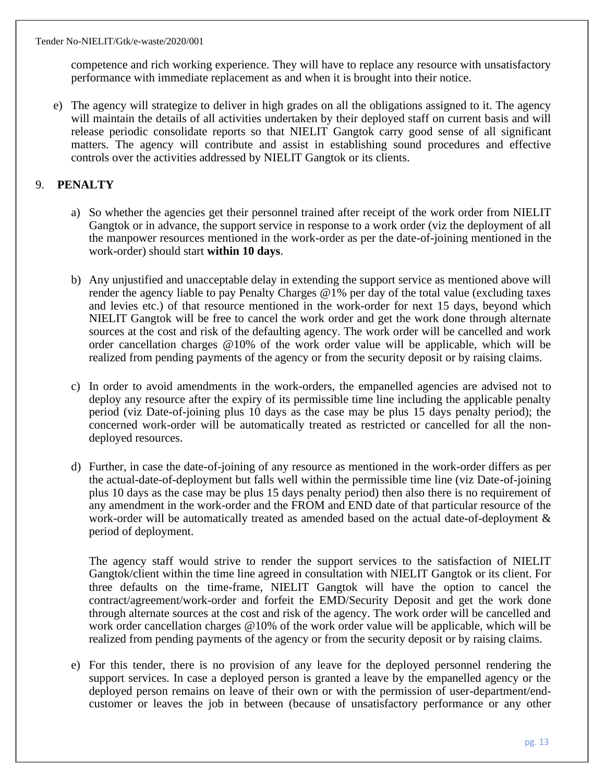competence and rich working experience. They will have to replace any resource with unsatisfactory performance with immediate replacement as and when it is brought into their notice.

e) The agency will strategize to deliver in high grades on all the obligations assigned to it. The agency will maintain the details of all activities undertaken by their deployed staff on current basis and will release periodic consolidate reports so that NIELIT Gangtok carry good sense of all significant matters. The agency will contribute and assist in establishing sound procedures and effective controls over the activities addressed by NIELIT Gangtok or its clients.

## 9. **PENALTY**

- a) So whether the agencies get their personnel trained after receipt of the work order from NIELIT Gangtok or in advance, the support service in response to a work order (viz the deployment of all the manpower resources mentioned in the work-order as per the date-of-joining mentioned in the work-order) should start **within 10 days**.
- b) Any unjustified and unacceptable delay in extending the support service as mentioned above will render the agency liable to pay Penalty Charges @1% per day of the total value (excluding taxes and levies etc.) of that resource mentioned in the work-order for next 15 days, beyond which NIELIT Gangtok will be free to cancel the work order and get the work done through alternate sources at the cost and risk of the defaulting agency. The work order will be cancelled and work order cancellation charges @10% of the work order value will be applicable, which will be realized from pending payments of the agency or from the security deposit or by raising claims.
- c) In order to avoid amendments in the work-orders, the empanelled agencies are advised not to deploy any resource after the expiry of its permissible time line including the applicable penalty period (viz Date-of-joining plus 10 days as the case may be plus 15 days penalty period); the concerned work-order will be automatically treated as restricted or cancelled for all the nondeployed resources.
- d) Further, in case the date-of-joining of any resource as mentioned in the work-order differs as per the actual-date-of-deployment but falls well within the permissible time line (viz Date-of-joining plus 10 days as the case may be plus 15 days penalty period) then also there is no requirement of any amendment in the work-order and the FROM and END date of that particular resource of the work-order will be automatically treated as amended based on the actual date-of-deployment & period of deployment.

The agency staff would strive to render the support services to the satisfaction of NIELIT Gangtok/client within the time line agreed in consultation with NIELIT Gangtok or its client. For three defaults on the time-frame, NIELIT Gangtok will have the option to cancel the contract/agreement/work-order and forfeit the EMD/Security Deposit and get the work done through alternate sources at the cost and risk of the agency. The work order will be cancelled and work order cancellation charges @10% of the work order value will be applicable, which will be realized from pending payments of the agency or from the security deposit or by raising claims.

e) For this tender, there is no provision of any leave for the deployed personnel rendering the support services. In case a deployed person is granted a leave by the empanelled agency or the deployed person remains on leave of their own or with the permission of user-department/endcustomer or leaves the job in between (because of unsatisfactory performance or any other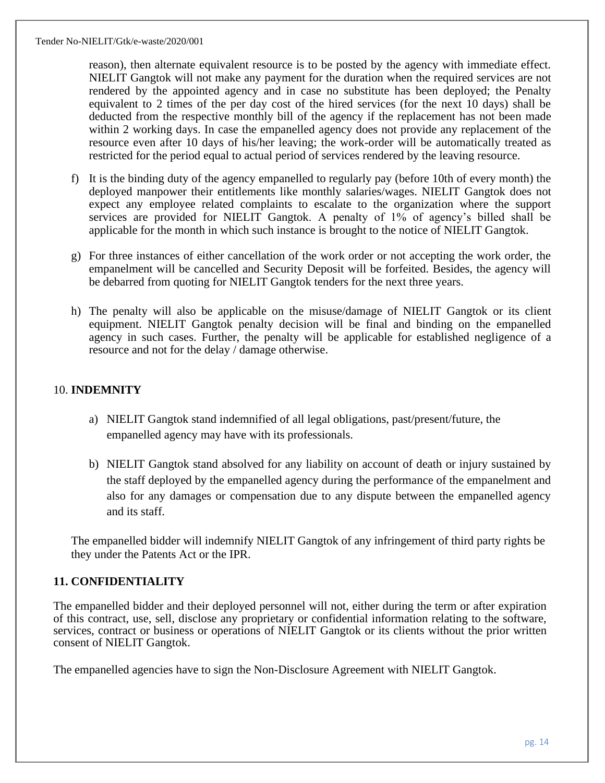reason), then alternate equivalent resource is to be posted by the agency with immediate effect. NIELIT Gangtok will not make any payment for the duration when the required services are not rendered by the appointed agency and in case no substitute has been deployed; the Penalty equivalent to 2 times of the per day cost of the hired services (for the next 10 days) shall be deducted from the respective monthly bill of the agency if the replacement has not been made within 2 working days. In case the empanelled agency does not provide any replacement of the resource even after 10 days of his/her leaving; the work-order will be automatically treated as restricted for the period equal to actual period of services rendered by the leaving resource.

- f) It is the binding duty of the agency empanelled to regularly pay (before 10th of every month) the deployed manpower their entitlements like monthly salaries/wages. NIELIT Gangtok does not expect any employee related complaints to escalate to the organization where the support services are provided for NIELIT Gangtok. A penalty of 1% of agency's billed shall be applicable for the month in which such instance is brought to the notice of NIELIT Gangtok.
- g) For three instances of either cancellation of the work order or not accepting the work order, the empanelment will be cancelled and Security Deposit will be forfeited. Besides, the agency will be debarred from quoting for NIELIT Gangtok tenders for the next three years.
- h) The penalty will also be applicable on the misuse/damage of NIELIT Gangtok or its client equipment. NIELIT Gangtok penalty decision will be final and binding on the empanelled agency in such cases. Further, the penalty will be applicable for established negligence of a resource and not for the delay / damage otherwise.

## 10. **INDEMNITY**

- a) NIELIT Gangtok stand indemnified of all legal obligations, past/present/future, the empanelled agency may have with its professionals.
- b) NIELIT Gangtok stand absolved for any liability on account of death or injury sustained by the staff deployed by the empanelled agency during the performance of the empanelment and also for any damages or compensation due to any dispute between the empanelled agency and its staff.

The empanelled bidder will indemnify NIELIT Gangtok of any infringement of third party rights be they under the Patents Act or the IPR.

### **11. CONFIDENTIALITY**

The empanelled bidder and their deployed personnel will not, either during the term or after expiration of this contract, use, sell, disclose any proprietary or confidential information relating to the software, services, contract or business or operations of NIELIT Gangtok or its clients without the prior written consent of NIELIT Gangtok.

The empanelled agencies have to sign the Non-Disclosure Agreement with NIELIT Gangtok.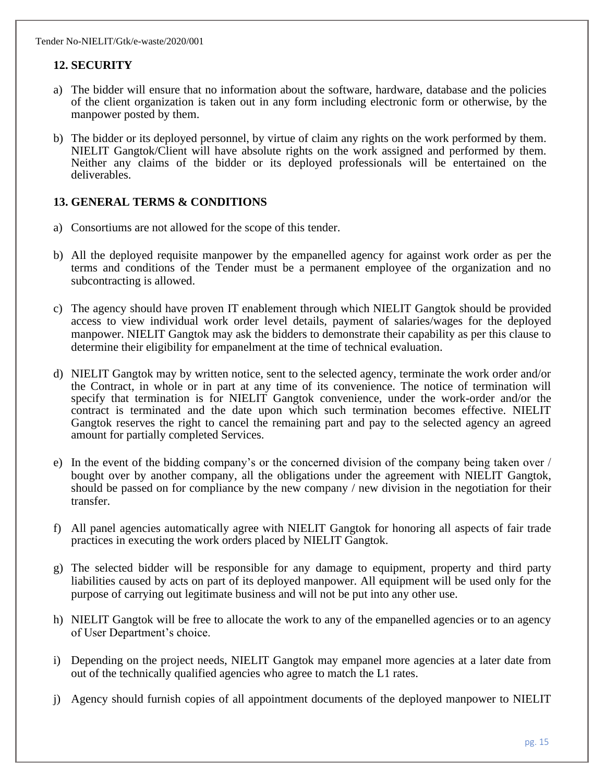## **12. SECURITY**

- a) The bidder will ensure that no information about the software, hardware, database and the policies of the client organization is taken out in any form including electronic form or otherwise, by the manpower posted by them.
- b) The bidder or its deployed personnel, by virtue of claim any rights on the work performed by them. NIELIT Gangtok/Client will have absolute rights on the work assigned and performed by them. Neither any claims of the bidder or its deployed professionals will be entertained on the deliverables.

## **13. GENERAL TERMS & CONDITIONS**

- a) Consortiums are not allowed for the scope of this tender.
- b) All the deployed requisite manpower by the empanelled agency for against work order as per the terms and conditions of the Tender must be a permanent employee of the organization and no subcontracting is allowed.
- c) The agency should have proven IT enablement through which NIELIT Gangtok should be provided access to view individual work order level details, payment of salaries/wages for the deployed manpower. NIELIT Gangtok may ask the bidders to demonstrate their capability as per this clause to determine their eligibility for empanelment at the time of technical evaluation.
- d) NIELIT Gangtok may by written notice, sent to the selected agency, terminate the work order and/or the Contract, in whole or in part at any time of its convenience. The notice of termination will specify that termination is for NIELIT Gangtok convenience, under the work-order and/or the contract is terminated and the date upon which such termination becomes effective. NIELIT Gangtok reserves the right to cancel the remaining part and pay to the selected agency an agreed amount for partially completed Services.
- e) In the event of the bidding company's or the concerned division of the company being taken over / bought over by another company, all the obligations under the agreement with NIELIT Gangtok, should be passed on for compliance by the new company / new division in the negotiation for their transfer.
- f) All panel agencies automatically agree with NIELIT Gangtok for honoring all aspects of fair trade practices in executing the work orders placed by NIELIT Gangtok.
- g) The selected bidder will be responsible for any damage to equipment, property and third party liabilities caused by acts on part of its deployed manpower. All equipment will be used only for the purpose of carrying out legitimate business and will not be put into any other use.
- h) NIELIT Gangtok will be free to allocate the work to any of the empanelled agencies or to an agency of User Department's choice.
- i) Depending on the project needs, NIELIT Gangtok may empanel more agencies at a later date from out of the technically qualified agencies who agree to match the L1 rates.
- j) Agency should furnish copies of all appointment documents of the deployed manpower to NIELIT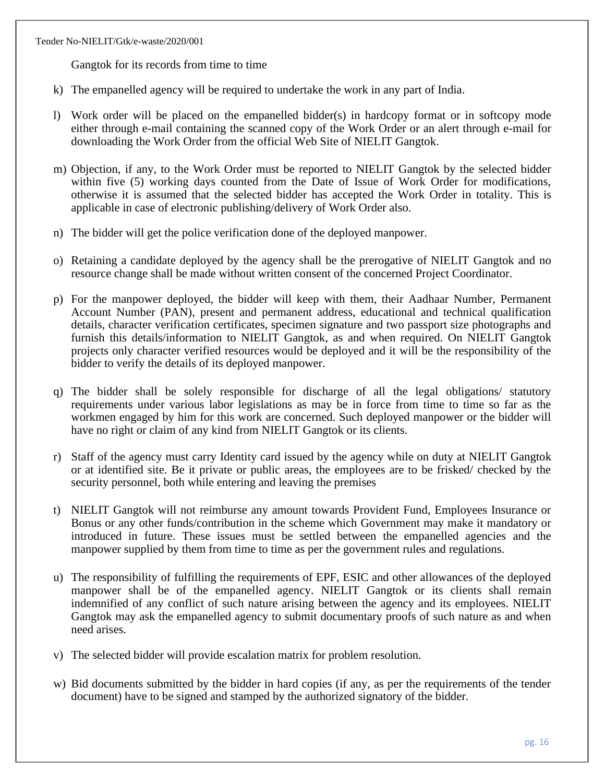Gangtok for its records from time to time

- k) The empanelled agency will be required to undertake the work in any part of India.
- l) Work order will be placed on the empanelled bidder(s) in hardcopy format or in softcopy mode either through e-mail containing the scanned copy of the Work Order or an alert through e-mail for downloading the Work Order from the official Web Site of NIELIT Gangtok.
- m) Objection, if any, to the Work Order must be reported to NIELIT Gangtok by the selected bidder within five (5) working days counted from the Date of Issue of Work Order for modifications, otherwise it is assumed that the selected bidder has accepted the Work Order in totality. This is applicable in case of electronic publishing/delivery of Work Order also.
- n) The bidder will get the police verification done of the deployed manpower.
- o) Retaining a candidate deployed by the agency shall be the prerogative of NIELIT Gangtok and no resource change shall be made without written consent of the concerned Project Coordinator.
- p) For the manpower deployed, the bidder will keep with them, their Aadhaar Number, Permanent Account Number (PAN), present and permanent address, educational and technical qualification details, character verification certificates, specimen signature and two passport size photographs and furnish this details/information to NIELIT Gangtok, as and when required. On NIELIT Gangtok projects only character verified resources would be deployed and it will be the responsibility of the bidder to verify the details of its deployed manpower.
- q) The bidder shall be solely responsible for discharge of all the legal obligations/ statutory requirements under various labor legislations as may be in force from time to time so far as the workmen engaged by him for this work are concerned. Such deployed manpower or the bidder will have no right or claim of any kind from NIELIT Gangtok or its clients.
- r) Staff of the agency must carry Identity card issued by the agency while on duty at NIELIT Gangtok or at identified site. Be it private or public areas, the employees are to be frisked/ checked by the security personnel, both while entering and leaving the premises
- t) NIELIT Gangtok will not reimburse any amount towards Provident Fund, Employees Insurance or Bonus or any other funds/contribution in the scheme which Government may make it mandatory or introduced in future. These issues must be settled between the empanelled agencies and the manpower supplied by them from time to time as per the government rules and regulations.
- u) The responsibility of fulfilling the requirements of EPF, ESIC and other allowances of the deployed manpower shall be of the empanelled agency. NIELIT Gangtok or its clients shall remain indemnified of any conflict of such nature arising between the agency and its employees. NIELIT Gangtok may ask the empanelled agency to submit documentary proofs of such nature as and when need arises.
- v) The selected bidder will provide escalation matrix for problem resolution.
- w) Bid documents submitted by the bidder in hard copies (if any, as per the requirements of the tender document) have to be signed and stamped by the authorized signatory of the bidder.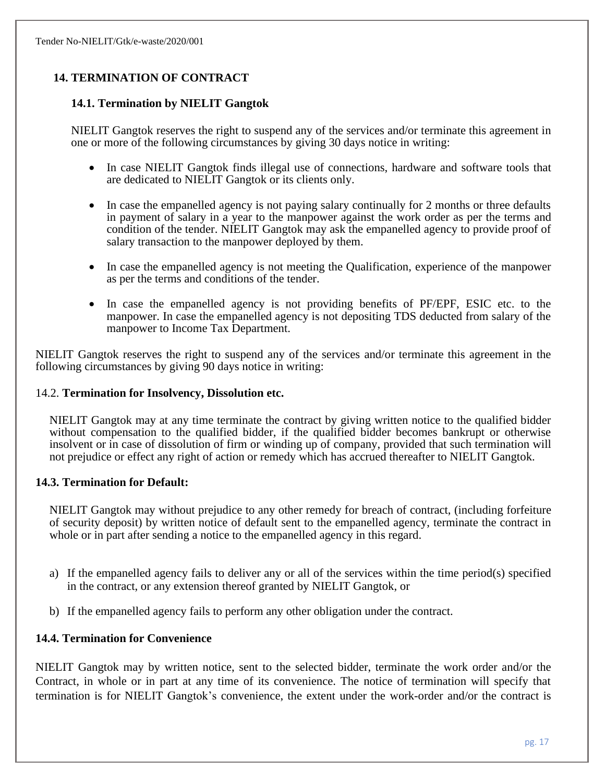## **14. TERMINATION OF CONTRACT**

## **14.1. Termination by NIELIT Gangtok**

NIELIT Gangtok reserves the right to suspend any of the services and/or terminate this agreement in one or more of the following circumstances by giving 30 days notice in writing:

- In case NIELIT Gangtok finds illegal use of connections, hardware and software tools that are dedicated to NIELIT Gangtok or its clients only.
- In case the empanelled agency is not paying salary continually for 2 months or three defaults in payment of salary in a year to the manpower against the work order as per the terms and condition of the tender. NIELIT Gangtok may ask the empanelled agency to provide proof of salary transaction to the manpower deployed by them.
- In case the empanelled agency is not meeting the Qualification, experience of the manpower as per the terms and conditions of the tender.
- In case the empanelled agency is not providing benefits of PF/EPF, ESIC etc. to the manpower. In case the empanelled agency is not depositing TDS deducted from salary of the manpower to Income Tax Department.

NIELIT Gangtok reserves the right to suspend any of the services and/or terminate this agreement in the following circumstances by giving 90 days notice in writing:

### 14.2. **Termination for Insolvency, Dissolution etc.**

NIELIT Gangtok may at any time terminate the contract by giving written notice to the qualified bidder without compensation to the qualified bidder, if the qualified bidder becomes bankrupt or otherwise insolvent or in case of dissolution of firm or winding up of company, provided that such termination will not prejudice or effect any right of action or remedy which has accrued thereafter to NIELIT Gangtok.

### **14.3. Termination for Default:**

NIELIT Gangtok may without prejudice to any other remedy for breach of contract, (including forfeiture of security deposit) by written notice of default sent to the empanelled agency, terminate the contract in whole or in part after sending a notice to the empanelled agency in this regard.

- a) If the empanelled agency fails to deliver any or all of the services within the time period(s) specified in the contract, or any extension thereof granted by NIELIT Gangtok, or
- b) If the empanelled agency fails to perform any other obligation under the contract.

## **14.4. Termination for Convenience**

NIELIT Gangtok may by written notice, sent to the selected bidder, terminate the work order and/or the Contract, in whole or in part at any time of its convenience. The notice of termination will specify that termination is for NIELIT Gangtok's convenience, the extent under the work-order and/or the contract is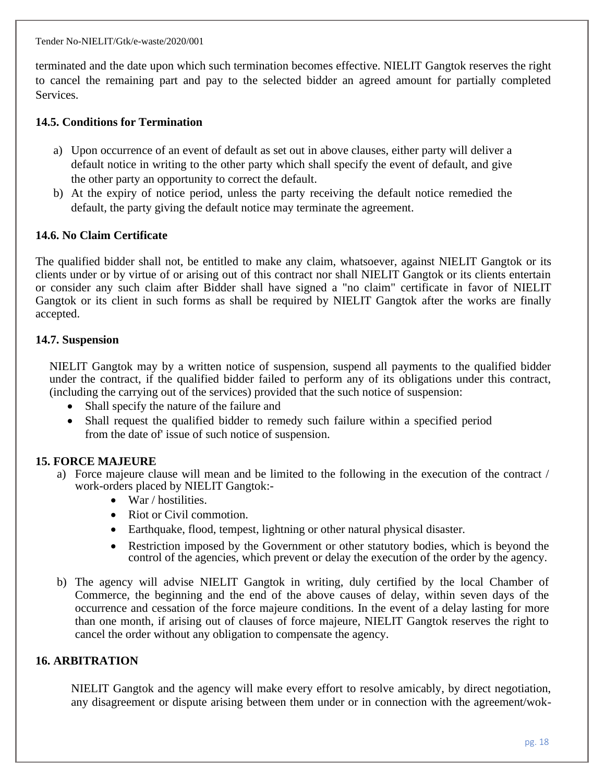terminated and the date upon which such termination becomes effective. NIELIT Gangtok reserves the right to cancel the remaining part and pay to the selected bidder an agreed amount for partially completed Services.

## **14.5. Conditions for Termination**

- a) Upon occurrence of an event of default as set out in above clauses, either party will deliver a default notice in writing to the other party which shall specify the event of default, and give the other party an opportunity to correct the default.
- b) At the expiry of notice period, unless the party receiving the default notice remedied the default, the party giving the default notice may terminate the agreement.

## **14.6. No Claim Certificate**

The qualified bidder shall not, be entitled to make any claim, whatsoever, against NIELIT Gangtok or its clients under or by virtue of or arising out of this contract nor shall NIELIT Gangtok or its clients entertain or consider any such claim after Bidder shall have signed a "no claim" certificate in favor of NIELIT Gangtok or its client in such forms as shall be required by NIELIT Gangtok after the works are finally accepted.

## **14.7. Suspension**

NIELIT Gangtok may by a written notice of suspension, suspend all payments to the qualified bidder under the contract, if the qualified bidder failed to perform any of its obligations under this contract, (including the carrying out of the services) provided that the such notice of suspension:

- Shall specify the nature of the failure and
- Shall request the qualified bidder to remedy such failure within a specified period from the date of' issue of such notice of suspension.

## **15. FORCE MAJEURE**

- a) Force majeure clause will mean and be limited to the following in the execution of the contract / work-orders placed by NIELIT Gangtok:-
	- War / hostilities.
	- Riot or Civil commotion.
	- Earthquake, flood, tempest, lightning or other natural physical disaster.
	- Restriction imposed by the Government or other statutory bodies, which is beyond the control of the agencies, which prevent or delay the execution of the order by the agency.
- b) The agency will advise NIELIT Gangtok in writing, duly certified by the local Chamber of Commerce, the beginning and the end of the above causes of delay, within seven days of the occurrence and cessation of the force majeure conditions. In the event of a delay lasting for more than one month, if arising out of clauses of force majeure, NIELIT Gangtok reserves the right to cancel the order without any obligation to compensate the agency.

### **16. ARBITRATION**

NIELIT Gangtok and the agency will make every effort to resolve amicably, by direct negotiation, any disagreement or dispute arising between them under or in connection with the agreement/wok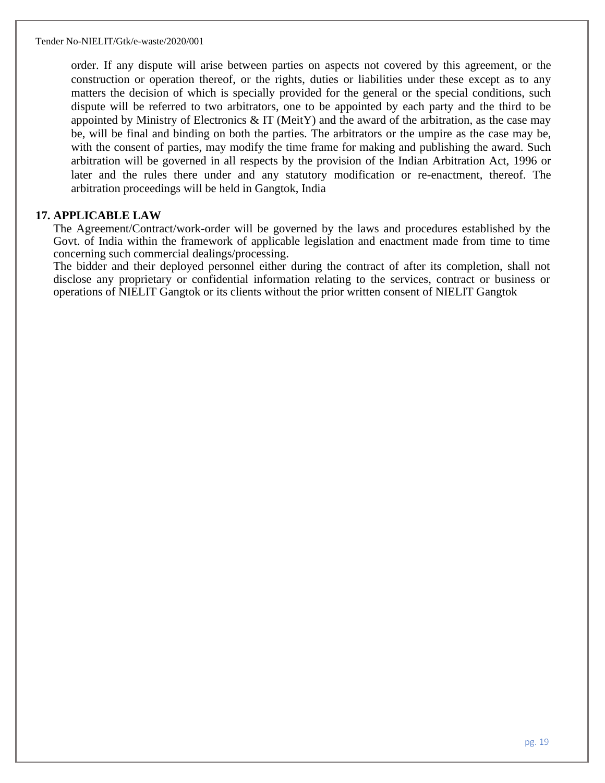order. If any dispute will arise between parties on aspects not covered by this agreement, or the construction or operation thereof, or the rights, duties or liabilities under these except as to any matters the decision of which is specially provided for the general or the special conditions, such dispute will be referred to two arbitrators, one to be appointed by each party and the third to be appointed by Ministry of Electronics  $\&$  IT (MeitY) and the award of the arbitration, as the case may be, will be final and binding on both the parties. The arbitrators or the umpire as the case may be, with the consent of parties, may modify the time frame for making and publishing the award. Such arbitration will be governed in all respects by the provision of the Indian Arbitration Act, 1996 or later and the rules there under and any statutory modification or re-enactment, thereof. The arbitration proceedings will be held in Gangtok, India

#### **17. APPLICABLE LAW**

The Agreement/Contract/work-order will be governed by the laws and procedures established by the Govt. of India within the framework of applicable legislation and enactment made from time to time concerning such commercial dealings/processing.

The bidder and their deployed personnel either during the contract of after its completion, shall not disclose any proprietary or confidential information relating to the services, contract or business or operations of NIELIT Gangtok or its clients without the prior written consent of NIELIT Gangtok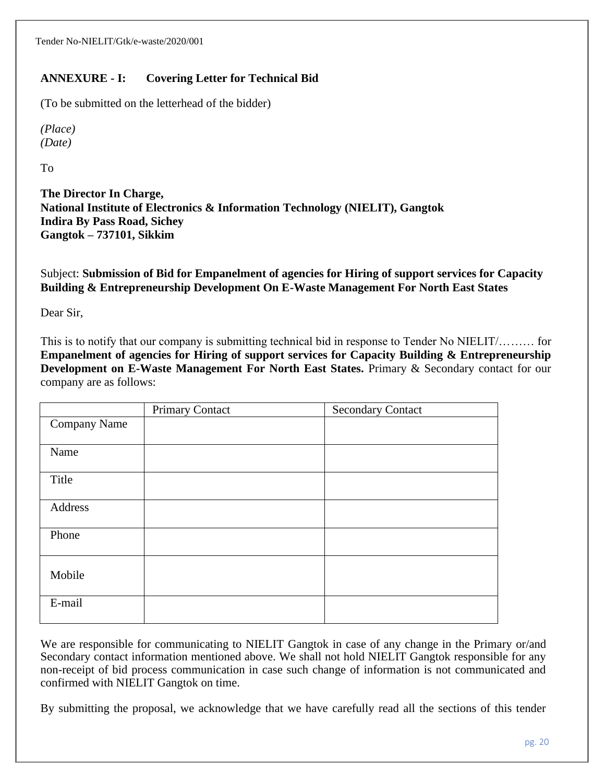## **ANNEXURE - I: Covering Letter for Technical Bid**

(To be submitted on the letterhead of the bidder)

*(Place) (Date)*

To

**The Director In Charge, National Institute of Electronics & Information Technology (NIELIT), Gangtok Indira By Pass Road, Sichey Gangtok – 737101, Sikkim**

Subject: **Submission of Bid for Empanelment of agencies for Hiring of support services for Capacity Building & Entrepreneurship Development On E-Waste Management For North East States**

Dear Sir,

This is to notify that our company is submitting technical bid in response to Tender No NIELIT/……… for **Empanelment of agencies for Hiring of support services for Capacity Building & Entrepreneurship Development on E-Waste Management For North East States.** Primary & Secondary contact for our company are as follows:

|              | <b>Primary Contact</b> | <b>Secondary Contact</b> |
|--------------|------------------------|--------------------------|
| Company Name |                        |                          |
|              |                        |                          |
| Name         |                        |                          |
|              |                        |                          |
| Title        |                        |                          |
|              |                        |                          |
| Address      |                        |                          |
|              |                        |                          |
| Phone        |                        |                          |
|              |                        |                          |
|              |                        |                          |
| Mobile       |                        |                          |
|              |                        |                          |
| E-mail       |                        |                          |
|              |                        |                          |

We are responsible for communicating to NIELIT Gangtok in case of any change in the Primary or/and Secondary contact information mentioned above. We shall not hold NIELIT Gangtok responsible for any non-receipt of bid process communication in case such change of information is not communicated and confirmed with NIELIT Gangtok on time.

By submitting the proposal, we acknowledge that we have carefully read all the sections of this tender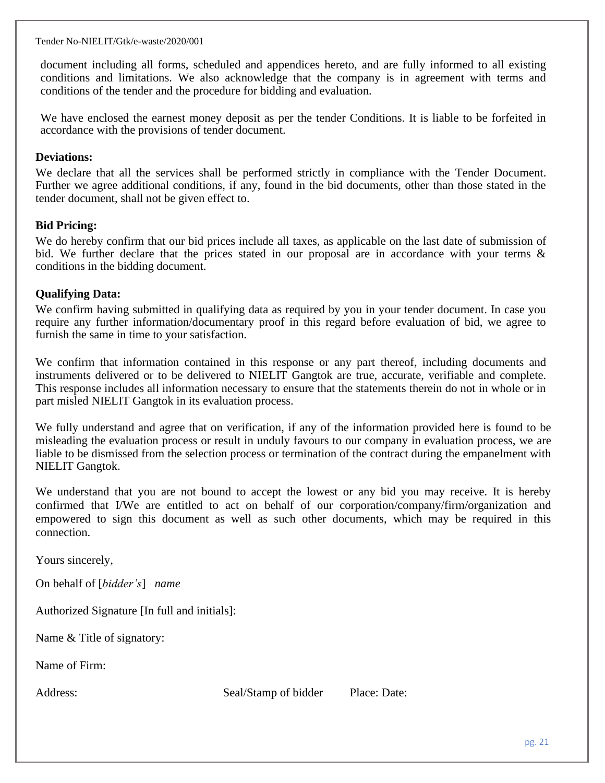document including all forms, scheduled and appendices hereto, and are fully informed to all existing conditions and limitations. We also acknowledge that the company is in agreement with terms and conditions of the tender and the procedure for bidding and evaluation.

We have enclosed the earnest money deposit as per the tender Conditions. It is liable to be forfeited in accordance with the provisions of tender document.

### **Deviations:**

We declare that all the services shall be performed strictly in compliance with the Tender Document. Further we agree additional conditions, if any, found in the bid documents, other than those stated in the tender document, shall not be given effect to.

### **Bid Pricing:**

We do hereby confirm that our bid prices include all taxes, as applicable on the last date of submission of bid. We further declare that the prices stated in our proposal are in accordance with your terms & conditions in the bidding document.

### **Qualifying Data:**

We confirm having submitted in qualifying data as required by you in your tender document. In case you require any further information/documentary proof in this regard before evaluation of bid, we agree to furnish the same in time to your satisfaction.

We confirm that information contained in this response or any part thereof, including documents and instruments delivered or to be delivered to NIELIT Gangtok are true, accurate, verifiable and complete. This response includes all information necessary to ensure that the statements therein do not in whole or in part misled NIELIT Gangtok in its evaluation process.

We fully understand and agree that on verification, if any of the information provided here is found to be misleading the evaluation process or result in unduly favours to our company in evaluation process, we are liable to be dismissed from the selection process or termination of the contract during the empanelment with NIELIT Gangtok.

We understand that you are not bound to accept the lowest or any bid you may receive. It is hereby confirmed that I/We are entitled to act on behalf of our corporation/company/firm/organization and empowered to sign this document as well as such other documents, which may be required in this connection.

Yours sincerely,

On behalf of [*bidder's*] *name*

Authorized Signature [In full and initials]:

Name & Title of signatory:

Name of Firm:

Address: Seal/Stamp of bidder Place: Date: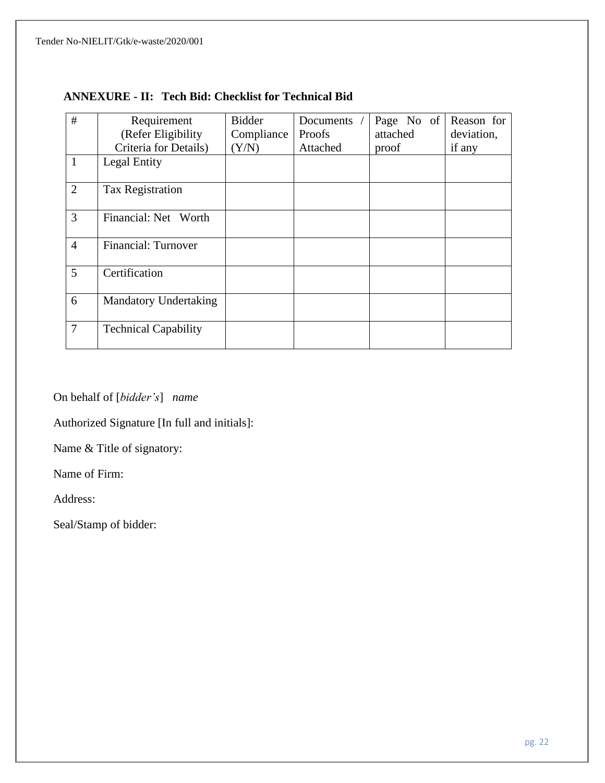| #              | Requirement                  | <b>Bidder</b> | Documents / | Page No of | Reason for |
|----------------|------------------------------|---------------|-------------|------------|------------|
|                | (Refer Eligibility           | Compliance    | Proofs      | attached   | deviation, |
|                | Criteria for Details)        | (Y/N)         | Attached    | proof      | if any     |
| $\mathbf{1}$   | Legal Entity                 |               |             |            |            |
| $\overline{2}$ | <b>Tax Registration</b>      |               |             |            |            |
| 3              | Financial: Net Worth         |               |             |            |            |
| $\overline{4}$ | Financial: Turnover          |               |             |            |            |
| 5              | Certification                |               |             |            |            |
| 6              | <b>Mandatory Undertaking</b> |               |             |            |            |
| $\tau$         | <b>Technical Capability</b>  |               |             |            |            |

## **ANNEXURE - II: Tech Bid: Checklist for Technical Bid**

On behalf of [*bidder's*] *name*

Authorized Signature [In full and initials]:

Name & Title of signatory:

Name of Firm:

Address:

Seal/Stamp of bidder: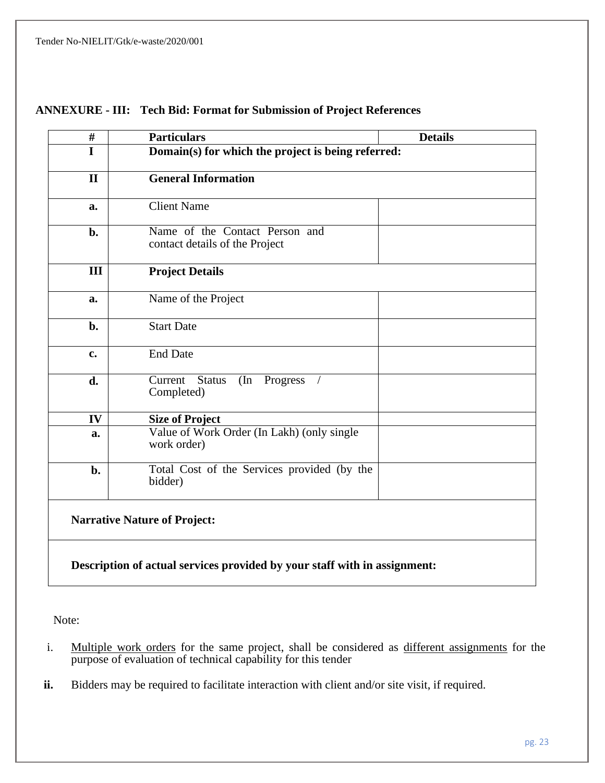| Domain(s) for which the project is being referred:<br><b>General Information</b><br><b>Client Name</b><br>Name of the Contact Person and<br>contact details of the Project<br><b>Project Details</b><br>Name of the Project |                                   |
|-----------------------------------------------------------------------------------------------------------------------------------------------------------------------------------------------------------------------------|-----------------------------------|
|                                                                                                                                                                                                                             |                                   |
|                                                                                                                                                                                                                             |                                   |
|                                                                                                                                                                                                                             |                                   |
|                                                                                                                                                                                                                             |                                   |
|                                                                                                                                                                                                                             |                                   |
|                                                                                                                                                                                                                             |                                   |
| <b>Start Date</b>                                                                                                                                                                                                           |                                   |
| <b>End Date</b>                                                                                                                                                                                                             |                                   |
| <b>Status</b><br>Progress<br>Current<br>(In<br>Completed)                                                                                                                                                                   |                                   |
|                                                                                                                                                                                                                             |                                   |
| Value of Work Order (In Lakh) (only single<br>work order)                                                                                                                                                                   |                                   |
| Total Cost of the Services provided (by the                                                                                                                                                                                 |                                   |
|                                                                                                                                                                                                                             | <b>Size of Project</b><br>bidder) |

## **ANNEXURE - III: Tech Bid: Format for Submission of Project References**

## **Description of actual services provided by your staff with in assignment:**

Note:

- i. Multiple work orders for the same project, shall be considered as different assignments for the purpose of evaluation of technical capability for this tender
- **ii.** Bidders may be required to facilitate interaction with client and/or site visit, if required.